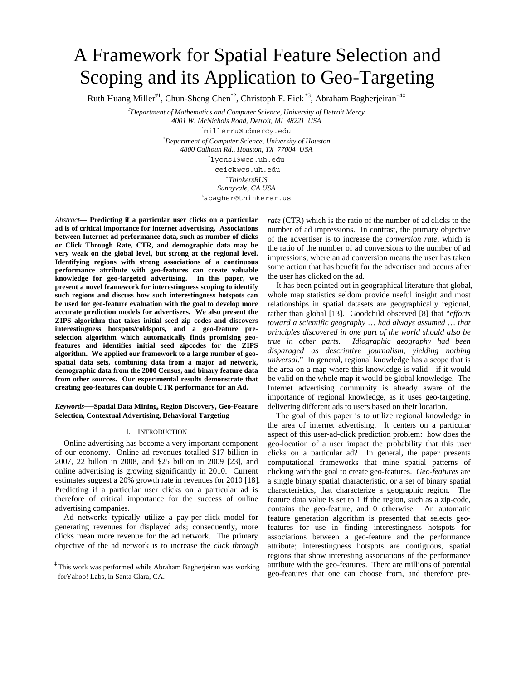# A Framework for Spatial Feature Selection and Scoping and its Application to Geo-Targeting

Ruth Huang Miller<sup>#1</sup>, Chun-Sheng Chen<sup>\*2</sup>, Christoph F. Eick<sup>\*3</sup>, Abraham Bagherjeiran<sup>+4‡</sup>

*# Department of Mathematics and Computer Science, University of Detroit Mercy 4001 W. McNichols Road, Detroit, MI 48221 USA* 

1 millerru@udmercy.edu

*\* Department of Computer Science, University of Houston 4800 Calhoun Rd., Houston, TX 77004 USA* 

2 lyons19@cs.uh.edu 3 ceick@cs.uh.edu

*+ThinkersRUS* 

*Sunnyvale, CA USA* 4 abagher@thinkersr.us

*Abstract***— Predicting if a particular user clicks on a particular ad is of critical importance for internet advertising. Associations between Internet ad performance data, such as number of clicks or Click Through Rate, CTR, and demographic data may be very weak on the global level, but strong at the regional level. Identifying regions with strong associations of a continuous performance attribute with geo-features can create valuable knowledge for geo-targeted advertising. In this paper, we present a novel framework for interestingness scoping to identify such regions and discuss how such interestingness hotspots can be used for geo-feature evaluation with the goal to develop more accurate prediction models for advertisers. We also present the ZIPS algorithm that takes initial seed zip codes and discovers interestingness hotspots/coldspots, and a geo-feature preselection algorithm which automatically finds promising geofeatures and identifies initial seed zipcodes for the ZIPS algorithm. We applied our framework to a large number of geospatial data sets, combining data from a major ad network, demographic data from the 2000 Census, and binary feature data from other sources. Our experimental results demonstrate that creating geo-features can double CTR performance for an Ad.** 

#### *Keywords*—**Spatial Data Mining, Region Discovery, Geo-Feature Selection, Contextual Advertising, Behavioral Targeting**

## I. INTRODUCTION

Online advertising has become a very important component of our economy. Online ad revenues totalled \$17 billion in 2007, 22 billon in 2008, and \$25 billion in 2009 [23], and online advertising is growing significantly in 2010. Current estimates suggest a 20% growth rate in revenues for 2010 [18]. Predicting if a particular user clicks on a particular ad is therefore of critical importance for the success of online advertising companies.

Ad networks typically utilize a pay-per-click model for generating revenues for displayed ads; consequently, more clicks mean more revenue for the ad network. The primary objective of the ad network is to increase the *click through* 

*rate* (CTR) which is the ratio of the number of ad clicks to the number of ad impressions. In contrast, the primary objective of the advertiser is to increase the *conversion rate*, which is the ratio of the number of ad conversions to the number of ad impressions, where an ad conversion means the user has taken some action that has benefit for the advertiser and occurs after the user has clicked on the ad.

It has been pointed out in geographical literature that global, whole map statistics seldom provide useful insight and most relationships in spatial datasets are geographically regional, rather than global [13]. Goodchild observed [8] that "e*fforts toward a scientific geography* … *had always assumed* … *that principles discovered in one part of the world should also be true in other parts*. *Idiographic geography had been disparaged as descriptive journalism, yielding nothing universal*." In general, regional knowledge has a scope that is the area on a map where this knowledge is valid—if it would be valid on the whole map it would be global knowledge. The Internet advertising community is already aware of the importance of regional knowledge, as it uses geo-targeting, delivering different ads to users based on their location.

The goal of this paper is to utilize regional knowledge in the area of internet advertising. It centers on a particular aspect of this user-ad-click prediction problem: how does the geo-location of a user impact the probability that this user clicks on a particular ad? In general, the paper presents computational frameworks that mine spatial patterns of clicking with the goal to create geo-features. *Geo-features* are a single binary spatial characteristic, or a set of binary spatial characteristics, that characterize a geographic region. The feature data value is set to 1 if the region, such as a zip-code, contains the geo-feature, and 0 otherwise*.* An automatic feature generation algorithm is presented that selects geofeatures for use in finding interestingness hotspots for associations between a geo-feature and the performance attribute; interestingness hotspots are contiguous, spatial regions that show interesting associations of the performance attribute with the geo-features. There are millions of potential geo-features that one can choose from, and therefore pre-

<sup>‡</sup> This work was performed while Abraham Bagherjeiran was working forYahoo! Labs, in Santa Clara, CA.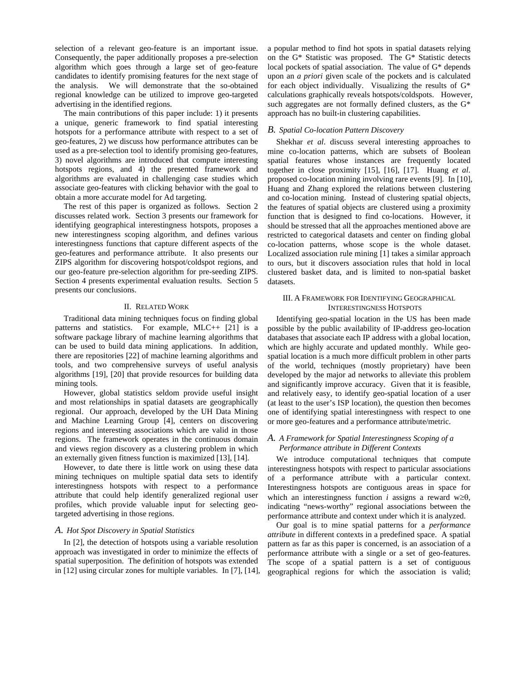selection of a relevant geo-feature is an important issue. Consequently, the paper additionally proposes a pre-selection algorithm which goes through a large set of geo-feature candidates to identify promising features for the next stage of the analysis. We will demonstrate that the so-obtained regional knowledge can be utilized to improve geo-targeted advertising in the identified regions.

The main contributions of this paper include: 1) it presents a unique, generic framework to find spatial interesting hotspots for a performance attribute with respect to a set of geo-features, 2) we discuss how performance attributes can be used as a pre-selection tool to identify promising geo-features, 3) novel algorithms are introduced that compute interesting hotspots regions, and 4) the presented framework and algorithms are evaluated in challenging case studies which associate geo-features with clicking behavior with the goal to obtain a more accurate model for Ad targeting.

The rest of this paper is organized as follows. Section 2 discusses related work. Section 3 presents our framework for identifying geographical interestingness hotspots, proposes a new interestingness scoping algorithm, and defines various interestingness functions that capture different aspects of the geo-features and performance attribute. It also presents our ZIPS algorithm for discovering hotspot/coldspot regions, and our geo-feature pre-selection algorithm for pre-seeding ZIPS. Section 4 presents experimental evaluation results. Section 5 presents our conclusions.

## II. RELATED WORK

Traditional data mining techniques focus on finding global patterns and statistics. For example, MLC++ [21] is a software package library of machine learning algorithms that can be used to build data mining applications. In addition, there are repositories [22] of machine learning algorithms and tools, and two comprehensive surveys of useful analysis algorithms [19], [20] that provide resources for building data mining tools.

However, global statistics seldom provide useful insight and most relationships in spatial datasets are geographically regional. Our approach, developed by the UH Data Mining and Machine Learning Group [4], centers on discovering regions and interesting associations which are valid in those regions. The framework operates in the continuous domain and views region discovery as a clustering problem in which an externally given fitness function is maximized [13], [14].

However, to date there is little work on using these data mining techniques on multiple spatial data sets to identify interestingness hotspots with respect to a performance attribute that could help identify generalized regional user profiles, which provide valuable input for selecting geotargeted advertising in those regions.

#### *A. Hot Spot Discovery in Spatial Statistics*

In [2], the detection of hotspots using a variable resolution approach was investigated in order to minimize the effects of spatial superposition. The definition of hotspots was extended in [12] using circular zones for multiple variables. In [7], [14],

a popular method to find hot spots in spatial datasets relying on the G\* Statistic was proposed. The G\* Statistic detects local pockets of spatial association. The value of G\* depends upon an *a priori* given scale of the pockets and is calculated for each object individually. Visualizing the results of G\* calculations graphically reveals hotspots/coldspots. However, such aggregates are not formally defined clusters, as the G\* approach has no built-in clustering capabilities.

#### *B. Spatial Co-location Pattern Discovery*

Shekhar *et al*. discuss several interesting approaches to mine co-location patterns, which are subsets of Boolean spatial features whose instances are frequently located together in close proximity [15], [16], [17]. Huang *et al*. proposed co-location mining involving rare events [9]. In [10], Huang and Zhang explored the relations between clustering and co-location mining. Instead of clustering spatial objects, the features of spatial objects are clustered using a proximity function that is designed to find co-locations. However, it should be stressed that all the approaches mentioned above are restricted to categorical datasets and center on finding global co-location patterns, whose scope is the whole dataset. Localized association rule mining [1] takes a similar approach to ours, but it discovers association rules that hold in local clustered basket data, and is limited to non-spatial basket datasets.

# III. A FRAMEWORK FOR IDENTIFYING GEOGRAPHICAL INTERESTINGNESS HOTSPOTS

Identifying geo-spatial location in the US has been made possible by the public availability of IP-address geo-location databases that associate each IP address with a global location, which are highly accurate and updated monthly. While geospatial location is a much more difficult problem in other parts of the world, techniques (mostly proprietary) have been developed by the major ad networks to alleviate this problem and significantly improve accuracy. Given that it is feasible, and relatively easy, to identify geo-spatial location of a user (at least to the user's ISP location), the question then becomes one of identifying spatial interestingness with respect to one or more geo-features and a performance attribute/metric.

# *A. A Framework for Spatial Interestingness Scoping of a Performance attribute in Different Contexts*

We introduce computational techniques that compute interestingness hotspots with respect to particular associations of a performance attribute with a particular context. Interestingness hotspots are contiguous areas in space for which an interestingness function *i* assigns a reward w≥ $\theta$ , indicating "news-worthy" regional associations between the performance attribute and context under which it is analyzed.

Our goal is to mine spatial patterns for a *performance attribute* in different contexts in a predefined space. A spatial pattern as far as this paper is concerned, is an association of a performance attribute with a single or a set of geo-features. The scope of a spatial pattern is a set of contiguous geographical regions for which the association is valid;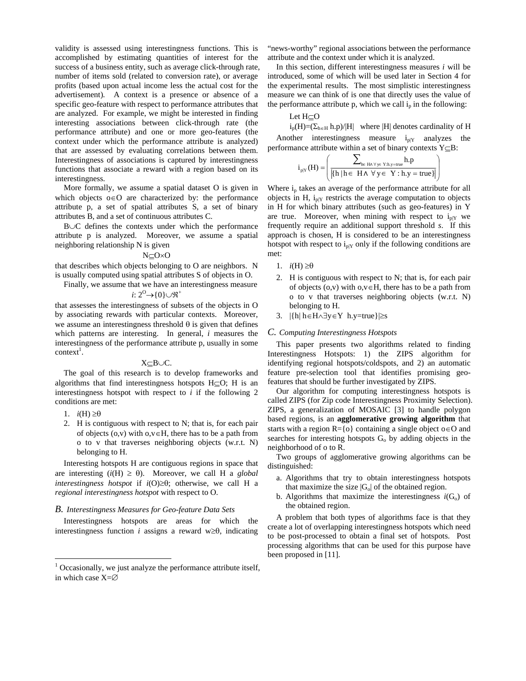validity is assessed using interestingness functions. This is accomplished by estimating quantities of interest for the success of a business entity, such as average click-through rate, number of items sold (related to conversion rate), or average profits (based upon actual income less the actual cost for the advertisement). A context is a presence or absence of a specific geo-feature with respect to performance attributes that are analyzed. For example, we might be interested in finding interesting associations between click-through rate (the performance attribute) and one or more geo-features (the context under which the performance attribute is analyzed) that are assessed by evaluating correlations between them. Interestingness of associations is captured by interestingness functions that associate a reward with a region based on its interestingness.

More formally, we assume a spatial dataset O is given in which objects o∈O are characterized by: the performance attribute p, a set of spatial attributes S, a set of binary attributes B, and a set of continuous attributes C.

B∪C defines the contexts under which the performance attribute p is analyzed. Moreover, we assume a spatial neighboring relationship N is given

#### N⊆O×O

that describes which objects belonging to O are neighbors. N is usually computed using spatial attributes S of objects in O.

Finally, we assume that we have an interestingness measure

# *i*:  $2^{\circ}$  → {0} $\cup$  \mither

that assesses the interestingness of subsets of the objects in O by associating rewards with particular contexts. Moreover, we assume an interestingness threshold  $\theta$  is given that defines which patterns are interesting. In general, *i* measures the interestingness of the performance attribute p, usually in some  $context<sup>1</sup>$ .

#### X⊆B∪C.

The goal of this research is to develop frameworks and algorithms that find interestingness hotspots H⊆O; H is an interestingness hotspot with respect to *i* if the following 2 conditions are met:

1.  $i(H) \geq \theta$ 

l

2. H is contiguous with respect to N; that is, for each pair of objects  $(o, v)$  with  $o, v \in H$ , there has to be a path from o to v that traverses neighboring objects (w.r.t. N) belonging to H.

Interesting hotspots H are contiguous regions in space that are interesting  $(i(H) \ge \theta)$ . Moreover, we call H a *global interestingness hotspot* if *i*(O)≥θ; otherwise, we call H a *regional interestingness hotspot* with respect to O.

#### *B. Interestingness Measures for Geo-feature Data Sets*

Interestingness hotspots are areas for which the interestingness function *i* assigns a reward w≥ $\theta$ , indicating

"news-worthy" regional associations between the performance attribute and the context under which it is analyzed.

In this section, different interestingness measures *i* will be introduced, some of which will be used later in Section 4 for the experimental results. The most simplistic interestingness measure we can think of is one that directly uses the value of the performance attribute p, which we call  $i<sub>p</sub>$  in the following:

#### Let H⊆O

 $i_p(H)=(\sum_{h\in H} h.p)/|H|$  where |H| denotes cardinality of H Another interestingness measure  $i_{p|Y}$  analyzes the performance attribute within a set of binary contexts Y⊆B:

$$
i_{\text{p}|Y}(H) = \left(\frac{\displaystyle\sum_{\text{h} \in H \land \, \forall \, y \in \, Y: \text{h}, y = \text{true}} h.p}{\left|\{\text{h} \, | \, \text{h} \in \, H \, \land \, \, \forall \, y \in \, Y: \text{h}, y = \text{true}\} \right|}\right)
$$

Where  $i_p$  takes an average of the performance attribute for all objects in H,  $i_{p|Y}$  restricts the average computation to objects in H for which binary attributes (such as geo-features) in Y are true. Moreover, when mining with respect to  $i_{p|Y}$  we frequently require an additional support threshold *s*. If this approach is chosen, H is considered to be an interestingness hotspot with respect to  $i_{p|Y}$  only if the following conditions are met:

- 1.  $i(H) \geq \theta$
- 2. H is contiguous with respect to N; that is, for each pair of objects  $(o, v)$  with  $o, v \in H$ , there has to be a path from o to v that traverses neighboring objects (w.r.t. N) belonging to H.
- 3. |{h| h∈H∧∃y∈Y h.y=true}|≥s

#### *C. Computing Interestingness Hotspots*

This paper presents two algorithms related to finding Interestingness Hotspots: 1) the ZIPS algorithm for identifying regional hotspots/coldspots, and 2) an automatic feature pre-selection tool that identifies promising geofeatures that should be further investigated by ZIPS.

Our algorithm for computing interestingness hotspots is called ZIPS (for Zip code Interestingness Proximity Selection). ZIPS, a generalization of MOSAIC [3] to handle polygon based regions, is an **agglomerative growing algorithm** that starts with a region  $R = \{o\}$  containing a single object o∈O and searches for interesting hotspots  $G_0$  by adding objects in the neighborhood of o to R.

Two groups of agglomerative growing algorithms can be distinguished:

- a. Algorithms that try to obtain interestingness hotspots that maximize the size  $|G_{o}|$  of the obtained region.
- b. Algorithms that maximize the interestingness  $i(G_0)$  of the obtained region.

A problem that both types of algorithms face is that they create a lot of overlapping interestingness hotspots which need to be post-processed to obtain a final set of hotspots. Post processing algorithms that can be used for this purpose have been proposed in [11].

 $1$  Occasionally, we just analyze the performance attribute itself, in which case X=∅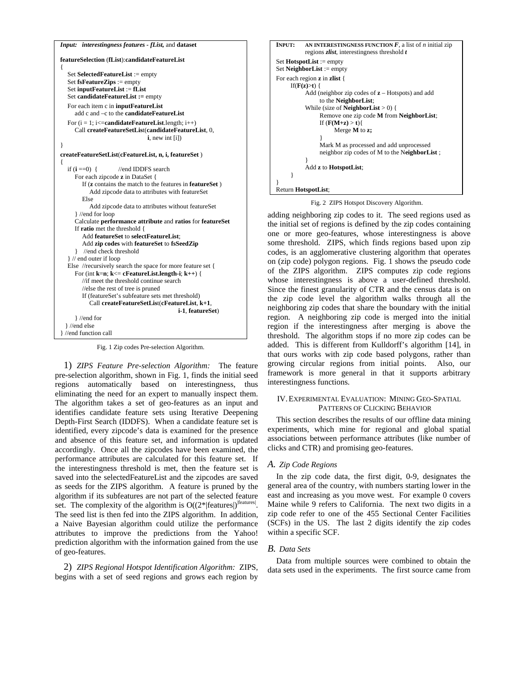```
Input: interestingness features - fList, and dataset 
featureSelection (fList):candidateFeatureList
{ 
    Set SelectedFeatureList := empty 
    Set fsFeatureZips := empty 
   Set inputFeatureList := fList 
   Set candidateFeatureList := empty
   For each item c in inputFeatureList
       add c and –c to the candidateFeatureList 
   For (i = 1; i \leqcandidateFeatureList.length; i++) Call createFeatureSetList(candidateFeatureList, 0, 
                                   i, new int [i]) 
} 
createFeatureSetList(cFeatureList, n, i, featureSet )
{ 
  if (i == 0) { //end IDDFS search
      For each zipcode z in DataSet { 
         If (z contains the match to the features in featureSet ) 
            Add zipcode data to attributes with featureSet 
         Else 
            Add zipcode data to attributes without featureSet 
       } //end for loop 
      Calculate performance attribute and ratios for featureSet
      If ratio met the threshold { 
         Add featureSet to selectFeatureList; 
         Add zip codes with featureSet to fsSeedZip
       } //end check threshold 
    } // end outer if loop 
  Else //recursively search the space for more feature set \{ For (int k=n; k<= cFeatureList.length-i; k++) { 
         //if meet the threshold continue search 
         //else the rest of tree is pruned 
         If (featureSet's subfeature sets met threshold) 
             Call createFeatureSetList(cFeatureList, k+1, 
                                               i-1, featureSet) 
      } //end for 
   } //end else 
} //end function call
```
Fig. 1 Zip codes Pre-selection Algorithm.

1) *ZIPS Feature Pre-selection Algorithm:* The feature pre-selection algorithm, shown in Fig. 1, finds the initial seed regions automatically based on interestingness, thus eliminating the need for an expert to manually inspect them. The algorithm takes a set of geo-features as an input and identifies candidate feature sets using Iterative Deepening Depth-First Search (IDDFS). When a candidate feature set is identified, every zipcode's data is examined for the presence and absence of this feature set, and information is updated accordingly. Once all the zipcodes have been examined, the performance attributes are calculated for this feature set. If the interestingness threshold is met, then the feature set is saved into the selectedFeatureList and the zipcodes are saved as seeds for the ZIPS algorithm. A feature is pruned by the algorithm if its subfeatures are not part of the selected feature set. The complexity of the algorithm is  $O((2^* | features|)^{|features|})$ . The seed list is then fed into the ZIPS algorithm. In addition, a Naive Bayesian algorithm could utilize the performance attributes to improve the predictions from the Yahoo! prediction algorithm with the information gained from the use of geo-features.

2) *ZIPS Regional Hotspot Identification Algorithm:* ZIPS, begins with a set of seed regions and grows each region by

```
INPUT: AN INTERESTINGNESS FUNCTION \vec{F}, a list of n initial zip
           regions zlist, interestingness threshold t
Set HotspotList := empty 
Set NeighborList := empty 
For each region z in zlist { 
      If(F(z)>t) { 
           Add (neighbor zip codes of z – Hotspots) and add 
                 to the NeighborList; 
           While (size of NeighborList > 0) { 
                 Remove one zip code M from NeighborList; 
                If (F(M+z) > t) Merge M to z; 
 } 
                 Mark M as processed and add unprocessed 
                 neighbor zip codes of M to the NeighborList ; 
 } 
            Add z to HotspotList; 
      } 
} 
Return HotspotList;
```
Fig. 2 ZIPS Hotspot Discovery Algorithm.

adding neighboring zip codes to it. The seed regions used as the initial set of regions is defined by the zip codes containing one or more geo-features, whose interestingness is above some threshold. ZIPS, which finds regions based upon zip codes, is an agglomerative clustering algorithm that operates on (zip code) polygon regions. Fig. 1 shows the pseudo code of the ZIPS algorithm. ZIPS computes zip code regions whose interestingness is above a user-defined threshold. Since the finest granularity of CTR and the census data is on the zip code level the algorithm walks through all the neighboring zip codes that share the boundary with the initial region. A neighboring zip code is merged into the initial region if the interestingness after merging is above the threshold. The algorithm stops if no more zip codes can be added. This is different from Kulldorff's algorithm [14], in that ours works with zip code based polygons, rather than growing circular regions from initial points. Also, our framework is more general in that it supports arbitrary interestingness functions.

# IV.EXPERIMENTAL EVALUATION: MINING GEO-SPATIAL PATTERNS OF CLICKING BEHAVIOR

This section describes the results of our offline data mining experiments, which mine for regional and global spatial associations between performance attributes (like number of clicks and CTR) and promising geo-features.

# *A. Zip Code Regions*

In the zip code data, the first digit, 0-9, designates the general area of the country, with numbers starting lower in the east and increasing as you move west. For example 0 covers Maine while 9 refers to California. The next two digits in a zip code refer to one of the 455 Sectional Center Facilities (SCFs) in the US. The last 2 digits identify the zip codes within a specific SCF.

# *B. Data Sets*

Data from multiple sources were combined to obtain the data sets used in the experiments. The first source came from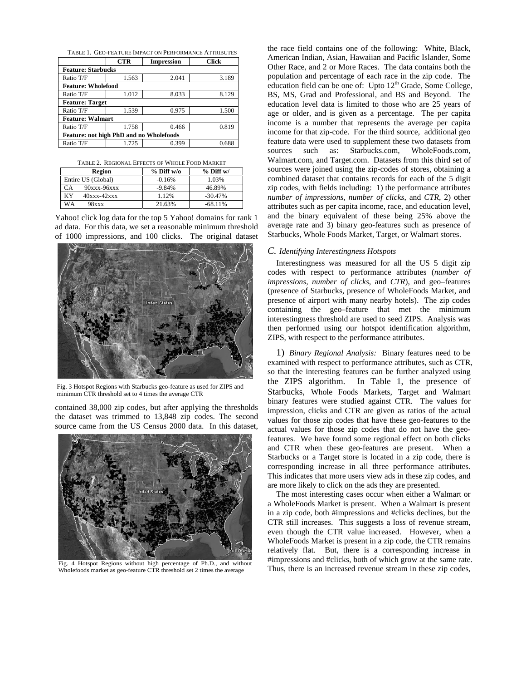TABLE 1. GEO-FEATURE IMPACT ON PERFORMANCE ATTRIBUTES

|                                                | <b>CTR</b> | <b>Impression</b> | Click |  |  |  |
|------------------------------------------------|------------|-------------------|-------|--|--|--|
| <b>Feature: Starbucks</b>                      |            |                   |       |  |  |  |
| Ratio T/F                                      | 1.563      | 2.041             | 3.189 |  |  |  |
| <b>Feature: Wholefood</b>                      |            |                   |       |  |  |  |
| Ratio T/F                                      | 1.012      | 8.033             | 8.129 |  |  |  |
| <b>Feature: Target</b>                         |            |                   |       |  |  |  |
| Ratio T/F                                      | 1.539      | 0.975             | 1.500 |  |  |  |
| <b>Feature: Walmart</b>                        |            |                   |       |  |  |  |
| Ratio T/F                                      | 1.758      | 0.466             | 0.819 |  |  |  |
| <b>Feature: not high PhD and no Wholefoods</b> |            |                   |       |  |  |  |
| Ratio T/F                                      | 1.725      | 0.399             | 0.688 |  |  |  |

|  |  |  |  | TABLE 2. REGIONAL EFFECTS OF WHOLE FOOD MARKET |
|--|--|--|--|------------------------------------------------|
|--|--|--|--|------------------------------------------------|

| Region                   | $%$ Diff w/o | $%$ Diff w/ |
|--------------------------|--------------|-------------|
| Entire US (Global)       | $-0.16%$     | 1.03%       |
| 90xxx-96xxx<br>CА        | $-9.84%$     | 46.89%      |
| KY<br>$40$ xxx- $42$ xxx | 1.12%        | $-30.47\%$  |
| WА<br><b>98xxx</b>       | 21.63%       | $-68.11\%$  |

Yahoo! click log data for the top 5 Yahoo! domains for rank 1 ad data. For this data, we set a reasonable minimum threshold of 1000 impressions, and 100 clicks. The original dataset



Fig. 3 Hotspot Regions with Starbucks geo-feature as used for ZIPS and minimum CTR threshold set to 4 times the average CTR

contained 38,000 zip codes, but after applying the thresholds the dataset was trimmed to 13,848 zip codes. The second source came from the US Census 2000 data. In this dataset,



Fig. 4 Hotspot Regions without high percentage of Ph.D., and without Wholefoods market as geo-feature CTR threshold set 2 times the average

the race field contains one of the following: White, Black, American Indian, Asian, Hawaiian and Pacific Islander, Some Other Race, and 2 or More Races. The data contains both the population and percentage of each race in the zip code. The education field can be one of: Upto  $12<sup>th</sup>$  Grade, Some College, BS, MS, Grad and Professional, and BS and Beyond. The education level data is limited to those who are 25 years of age or older, and is given as a percentage. The per capita income is a number that represents the average per capita income for that zip-code. For the third source, additional geo feature data were used to supplement these two datasets from sources such as: Starbucks.com, WholeFoods.com, Walmart.com, and Target.com. Datasets from this third set of sources were joined using the zip-codes of stores, obtaining a combined dataset that contains records for each of the 5 digit zip codes, with fields including: 1) the performance attributes *number of impressions*, *number of clicks*, and *CTR*, 2) other attributes such as per capita income, race, and education level, and the binary equivalent of these being 25% above the average rate and 3) binary geo-features such as presence of Starbucks, Whole Foods Market, Target, or Walmart stores.

#### *C. Identifying Interestingness Hotspots*

Interestingness was measured for all the US 5 digit zip codes with respect to performance attributes (*number of impressions*, *number of clicks*, and *CTR*), and geo–features (presence of Starbucks, presence of WholeFoods Market, and presence of airport with many nearby hotels). The zip codes containing the geo–feature that met the minimum interestingness threshold are used to seed ZIPS. Analysis was then performed using our hotspot identification algorithm, ZIPS, with respect to the performance attributes.

1) *Binary Regional Analysis:* Binary features need to be examined with respect to performance attributes, such as CTR, so that the interesting features can be further analyzed using the ZIPS algorithm. In Table 1, the presence of Starbucks, Whole Foods Markets, Target and Walmart binary features were studied against CTR. The values for impression, clicks and CTR are given as ratios of the actual values for those zip codes that have these geo-features to the actual values for those zip codes that do not have the geofeatures. We have found some regional effect on both clicks and CTR when these geo-features are present. When a Starbucks or a Target store is located in a zip code, there is corresponding increase in all three performance attributes. This indicates that more users view ads in these zip codes, and are more likely to click on the ads they are presented.

The most interesting cases occur when either a Walmart or a WholeFoods Market is present. When a Walmart is present in a zip code, both #impressions and #clicks declines, but the CTR still increases. This suggests a loss of revenue stream, even though the CTR value increased. However, when a WholeFoods Market is present in a zip code, the CTR remains relatively flat. But, there is a corresponding increase in #impressions and #clicks, both of which grow at the same rate. Thus, there is an increased revenue stream in these zip codes,